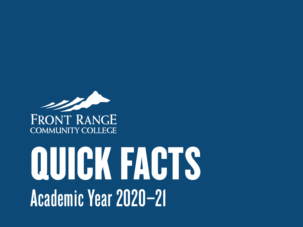

### QUICK FACTS Academic Year 2020–21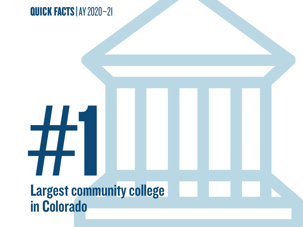### **1444** Largest community college in Colorado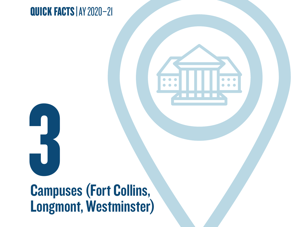**Campu** Campuses (Fort Collins, Longmont, Westminster)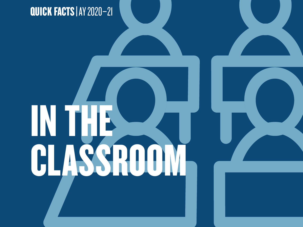### IN THE CLASSROOM

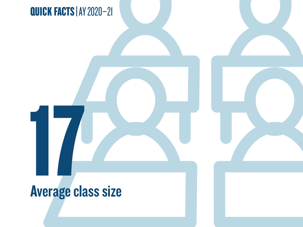

**17 March 2014** Average class size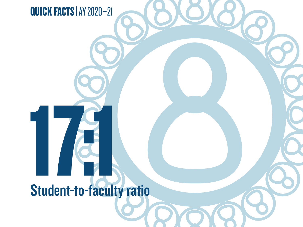### Student-to-facult Student-to-faculty ratio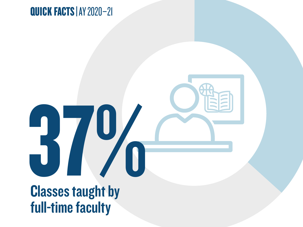37% Classes taught by full-time faculty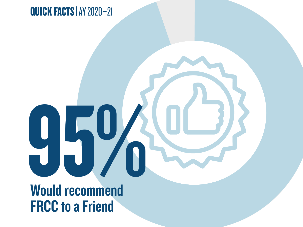95% Would recommend FRCC to a Friend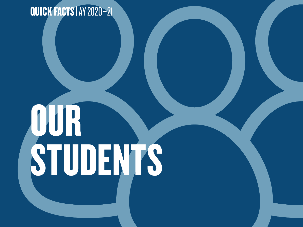### OUR STUDENTS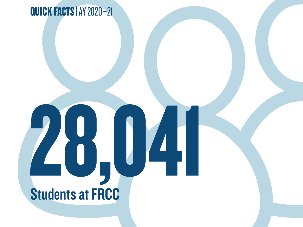

# 28,041 Students at FRCC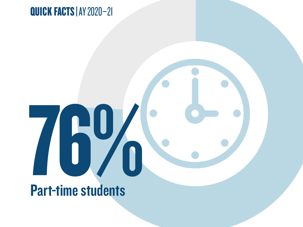### Part-time students

70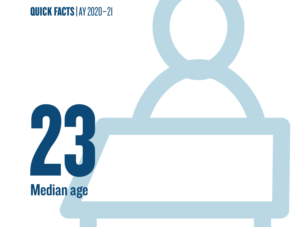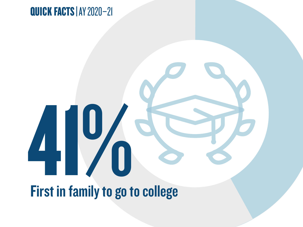### First in family to go to college

19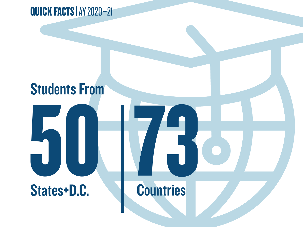

### Students From

### States+D.C. States+D.C.

**73**<br>Countries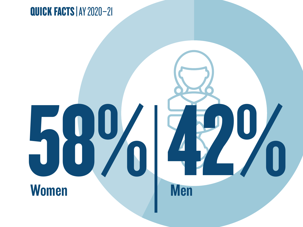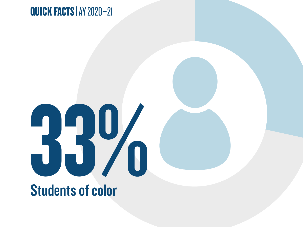# 33%

### Students of color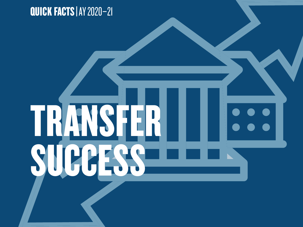# TRANSFER **SUCCESS**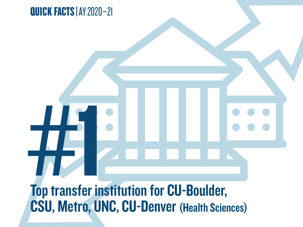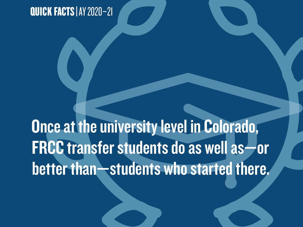Once at the university level in Colorado, FRCC transfer students do as well as—or better than—students who started there.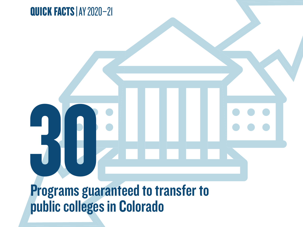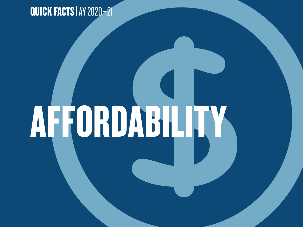# AFFORDABILITY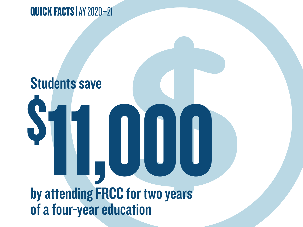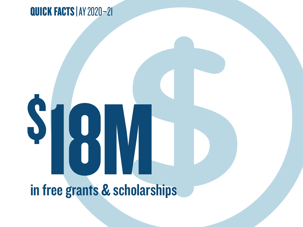### S<br>
18<br>
In free grants & scholars in free grants & scholarships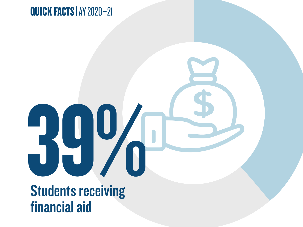### Students receiving financial aid

39%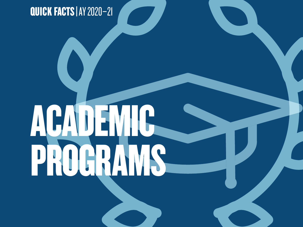### ACADEMIC PROGRAMS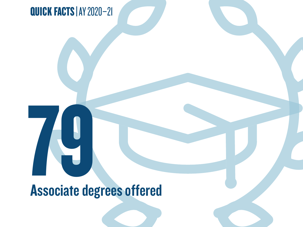

### **798**<br>Associate de Associate degrees offered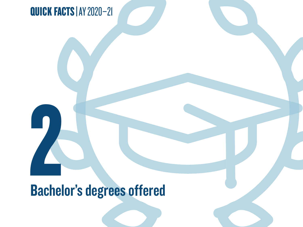

### **2008**<br>Bachel Bachelor's degrees offered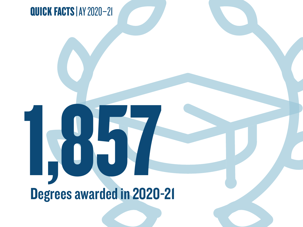

# 1,857 Degrees awarded in 2020-21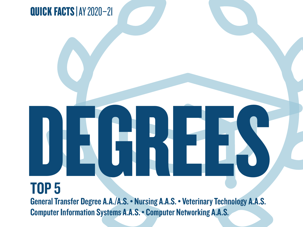

### DEGREES TOP 5 General Transfer Degree A.A./A.S. • Nursing A.A.S. • Veterinary Technology A.A.S. Computer Information Systems A.A.S. • Computer Networking A.A.S.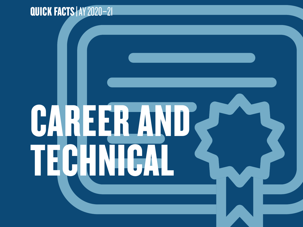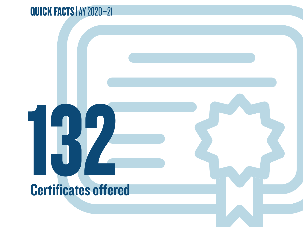### **1322** Certificates offered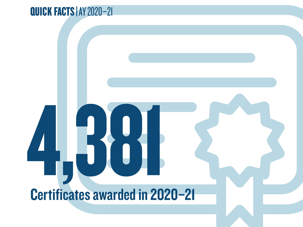# 4,381 Certificates awarded in 2020–21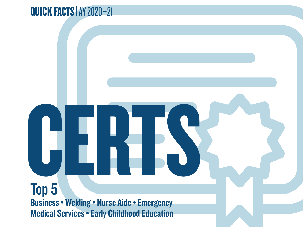